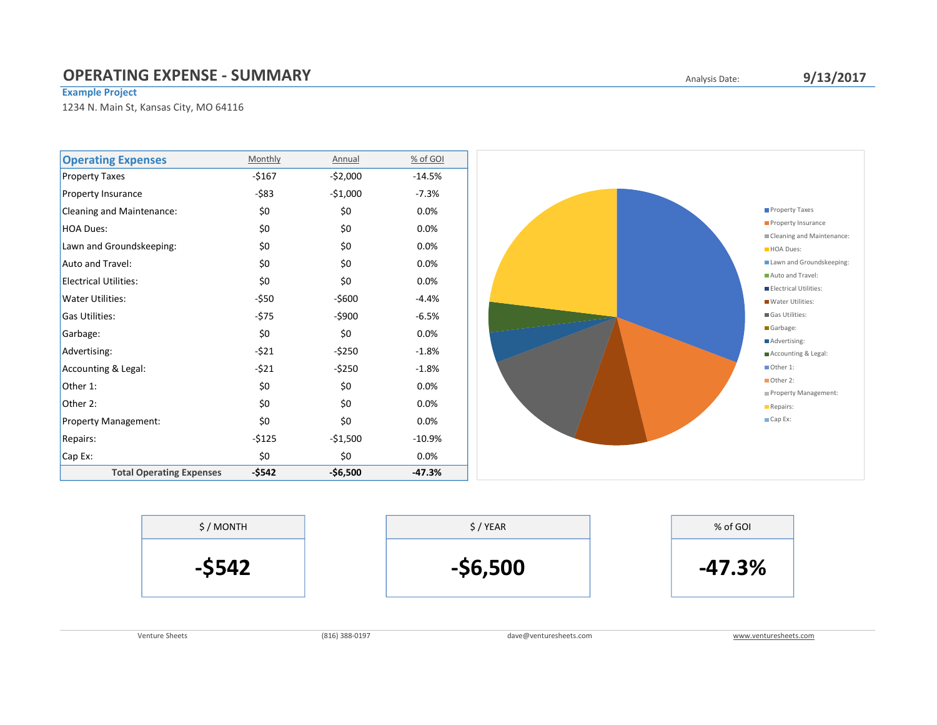## **OPERATING EXPENSE - SUMMARY COPERATING EXPENSE - SUMMARY**

#### Example Project

1234 N. Main St, Kansas City, MO 64116





Venture Sheets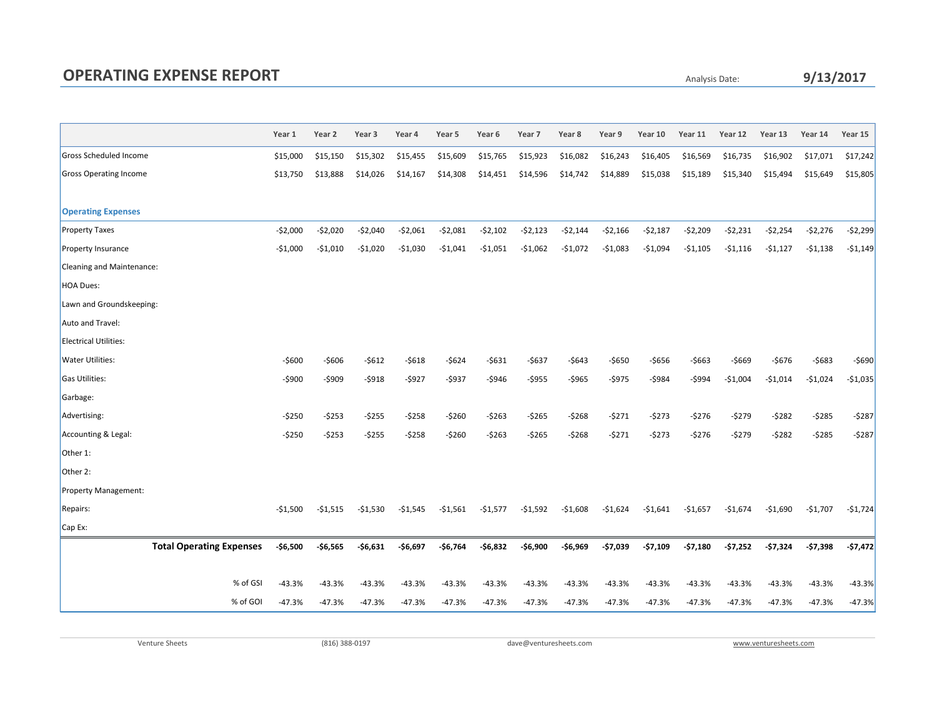# OPERATING EXPENSE REPORT

Analysis Date:

### 9/13/2017

|                                 | Year 1    | Year 2    | Year <sub>3</sub> | Year 4    | Year 5    | Year <sub>6</sub> | Year 7    | Year 8    | Year 9    | Year 10   | Year 11   | Year 12   | Year 13   | Year 14   | Year 15   |
|---------------------------------|-----------|-----------|-------------------|-----------|-----------|-------------------|-----------|-----------|-----------|-----------|-----------|-----------|-----------|-----------|-----------|
| Gross Scheduled Income          | \$15,000  | \$15,150  | \$15,302          | \$15,455  | \$15,609  | \$15,765          | \$15,923  | \$16,082  | \$16,243  | \$16,405  | \$16,569  | \$16,735  | \$16,902  | \$17,071  | \$17,242  |
| <b>Gross Operating Income</b>   | \$13,750  | \$13,888  | \$14,026          | \$14,167  | \$14,308  | \$14,451          | \$14,596  | \$14,742  | \$14,889  | \$15,038  | \$15,189  | \$15,340  | \$15,494  | \$15,649  | \$15,805  |
|                                 |           |           |                   |           |           |                   |           |           |           |           |           |           |           |           |           |
| <b>Operating Expenses</b>       |           |           |                   |           |           |                   |           |           |           |           |           |           |           |           |           |
| <b>Property Taxes</b>           | $-52,000$ | $-52,020$ | $-52,040$         | $-52,061$ | $-52,081$ | $-52,102$         | $-52,123$ | $-52,144$ | $-52,166$ | $-52,187$ | $-52,209$ | $-52,231$ | $-52,254$ | $-52,276$ | $-52,299$ |
| Property Insurance              | $-$1,000$ | -\$1,010  | $-$1,020$         | $-$1,030$ | $-$1,041$ | -\$1,051          | -\$1,062  | -\$1,072  | $-$1,083$ | $-51,094$ | $-$1,105$ | $-51,116$ | $-$1,127$ | $-51,138$ | $-51,149$ |
| Cleaning and Maintenance:       |           |           |                   |           |           |                   |           |           |           |           |           |           |           |           |           |
| <b>HOA Dues:</b>                |           |           |                   |           |           |                   |           |           |           |           |           |           |           |           |           |
| Lawn and Groundskeeping:        |           |           |                   |           |           |                   |           |           |           |           |           |           |           |           |           |
| Auto and Travel:                |           |           |                   |           |           |                   |           |           |           |           |           |           |           |           |           |
| <b>Electrical Utilities:</b>    |           |           |                   |           |           |                   |           |           |           |           |           |           |           |           |           |
| Water Utilities:                | -\$600    | -\$606    | $-5612$           | $-5618$   | $-5624$   | $-5631$           | $-5637$   | $-5643$   | $-5650$   | -\$656    | -\$663    | -\$669    | $-5676$   | $-5683$   | -\$690    |
| Gas Utilities:                  | $-5900$   | -\$909    | $-5918$           | $-5927$   | $-5937$   | $-5946$           | $-5955$   | $-5965$   | $-5975$   | -\$984    | $-5994$   | $-$1,004$ | $-$1,014$ | $-51,024$ | $-$1,035$ |
| Garbage:                        |           |           |                   |           |           |                   |           |           |           |           |           |           |           |           |           |
| Advertising:                    | -\$250    | -\$253    | $-5255$           | $-5258$   | $-5260$   | -\$263            | $-5265$   | -\$268    | $-5271$   | -\$273    | -\$276    | $-5279$   | $-5282$   | $-5285$   | $-5287$   |
| Accounting & Legal:             | $-5250$   | $-5253$   | $-5255$           | $-5258$   | $-5260$   | $-5263$           | $-5265$   | $-5268$   | $-5271$   | -\$273    | $-5276$   | $-5279$   | $-5282$   | $-5285$   | $-5287$   |
| Other 1:                        |           |           |                   |           |           |                   |           |           |           |           |           |           |           |           |           |
| Other 2:                        |           |           |                   |           |           |                   |           |           |           |           |           |           |           |           |           |
| Property Management:            |           |           |                   |           |           |                   |           |           |           |           |           |           |           |           |           |
| Repairs:                        | $-51,500$ | $-51,515$ | $-$1,530$         | $-51,545$ | $-51,561$ | $-$1,577$         | $-51,592$ | $-51,608$ | $-51,624$ | $-51,641$ | $-$1,657$ | $-$1,674$ | $-51,690$ | $-51,707$ | $-51,724$ |
| Cap Ex:                         |           |           |                   |           |           |                   |           |           |           |           |           |           |           |           |           |
| <b>Total Operating Expenses</b> | $-56,500$ | $-56,565$ | $-56,631$         | -\$6,697  | $-56,764$ | $-56,832$         | $-56,900$ | -\$6,969  | -\$7,039  | $-57,109$ | $-57,180$ | $-57,252$ | $-57,324$ | $-57,398$ | $-57,472$ |
|                                 |           |           |                   |           |           |                   |           |           |           |           |           |           |           |           |           |
| % of GSI                        | $-43.3%$  | $-43.3%$  | $-43.3%$          | $-43.3%$  | $-43.3%$  | $-43.3%$          | $-43.3%$  | $-43.3%$  | $-43.3%$  | $-43.3%$  | $-43.3%$  | $-43.3%$  | $-43.3%$  | $-43.3%$  | $-43.3%$  |
| % of GOI                        | $-47.3%$  | $-47.3%$  | $-47.3%$          | $-47.3%$  | $-47.3%$  | $-47.3%$          | -47.3%    | $-47.3%$  | -47.3%    | $-47.3%$  | $-47.3%$  | $-47.3%$  | $-47.3%$  | $-47.3%$  | $-47.3%$  |

Venture Sheets